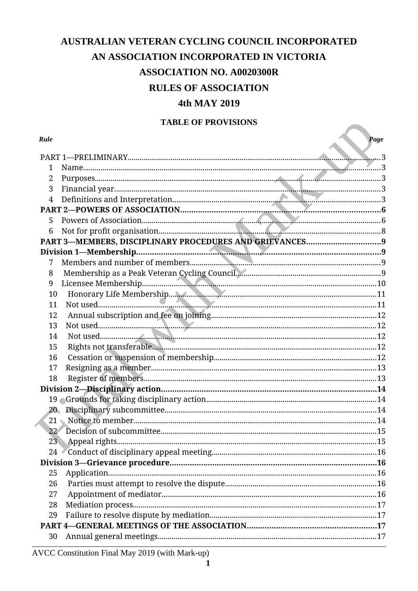# AUSTRALIAN VETERAN CYCLING COUNCIL INCORPORATED

## AN ASSOCIATION INCORPORATED IN VICTORIA

# **ASSOCIATION NO. A0020300R**

## **RULES OF ASSOCIATION**

## 4th MAY 2019

## **TABLE OF PROVISIONS**

| TABLE OF PROVISIONS |      |
|---------------------|------|
| Rule                | Page |
|                     |      |
| 1                   |      |
| $\overline{2}$      |      |
| 3                   |      |
| 4                   |      |
|                     |      |
| 5                   |      |
| 6                   |      |
|                     |      |
|                     |      |
| 7                   |      |
| 8                   |      |
| 9                   |      |
| 10                  |      |
| 11                  |      |
| 12                  |      |
| 13                  |      |
| 14                  |      |
| 15                  |      |
| 16                  |      |
| 17                  |      |
| 18                  |      |
|                     |      |
|                     |      |
|                     |      |
|                     |      |
| 22 <sup>7</sup>     |      |
| 23 <sub>1</sub>     |      |
| 24                  |      |
|                     |      |
| 25                  |      |
| 26                  |      |
| 27                  |      |
| 28                  |      |
| 29                  |      |
|                     |      |
| 30                  |      |

## AVCC Constitution Final May 2019 (with Mark-up)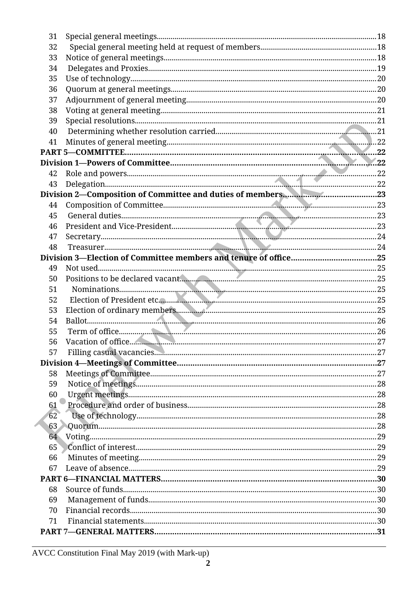| 31 |  |
|----|--|
| 32 |  |
| 33 |  |
| 34 |  |
| 35 |  |
| 36 |  |
| 37 |  |
| 38 |  |
| 39 |  |
| 40 |  |
| 41 |  |
|    |  |
|    |  |
| 42 |  |
| 43 |  |
|    |  |
| 44 |  |
| 45 |  |
| 46 |  |
|    |  |
| 47 |  |
| 48 |  |
|    |  |
| 49 |  |
| 50 |  |
| 51 |  |
| 52 |  |
| 53 |  |
| 54 |  |
| 55 |  |
| 56 |  |
| 57 |  |
|    |  |
| 58 |  |
| 59 |  |
| 60 |  |
| 61 |  |
| 62 |  |
| 63 |  |
| 64 |  |
| 65 |  |
| 66 |  |
| 67 |  |
|    |  |
| 68 |  |
| 69 |  |
| 70 |  |
| 71 |  |
|    |  |
|    |  |

AVCC Constitution Final May 2019 (with Mark-up)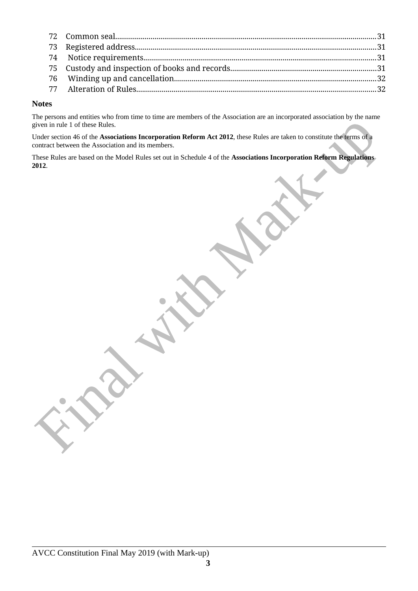#### **Notes**

The persons and entities who from time to time are members of the Association are an incorporated association by the name given in rule 1 of these Rules.

Under section 46 of the **Associations Incorporation Reform Act 2012**, these Rules are taken to constitute the terms of a contract between the Association and its members.

These Rules are based on the Model Rules set out in Schedule 4 of the **Associations Incorporation Reform Regulations 2012**.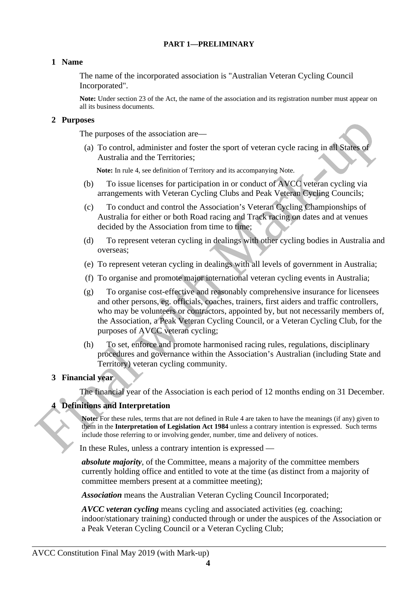#### <span id="page-3-4"></span>**PART 1—PRELIMINARY**

#### <span id="page-3-3"></span>**1 Name**

The name of the incorporated association is "Australian Veteran Cycling Council Incorporated".

**Note:** Under section 23 of the Act, the name of the association and its registration number must appear on all its business documents.

#### <span id="page-3-2"></span>**2 Purposes**

The purposes of the association are—

(a) To control, administer and foster the sport of veteran cycle racing in all States of Australia and the Territories;

**Note:** In rule 4, see definition of Territory and its accompanying Note.

- (b) To issue licenses for participation in or conduct of AVCC veteran cycling via arrangements with Veteran Cycling Clubs and Peak Veteran Cycling Councils;
- (c) To conduct and control the Association's Veteran Cycling Championships of Australia for either or both Road racing and Track racing on dates and at venues decided by the Association from time to time;
- (d) To represent veteran cycling in dealings with other cycling bodies in Australia and overseas;
- (e) To represent veteran cycling in dealings with all levels of government in Australia;
- (f) To organise and promote major international veteran cycling events in Australia;
- (g) To organise cost-effective and reasonably comprehensive insurance for licensees and other persons, eg. officials, coaches, trainers, first aiders and traffic controllers, who may be volunteers or contractors, appointed by, but not necessarily members of, the Association, a Peak Veteran Cycling Council, or a Veteran Cycling Club, for the purposes of AVCC veteran cycling;
- (h) To set, enforce and promote harmonised racing rules, regulations, disciplinary procedures and governance within the Association's Australian (including State and Territory) veteran cycling community.

#### <span id="page-3-1"></span>**3 Financial year**

The financial year of the Association is each period of 12 months ending on 31 December.

#### <span id="page-3-0"></span>**4 Definitions and Interpretation**

**Note:** For these rules, terms that are not defined in Rule 4 are taken to have the meanings (if any) given to them in the **Interpretation of Legislation Act 1984** unless a contrary intention is expressed. Such terms include those referring to or involving gender, number, time and delivery of notices.

In these Rules, unless a contrary intention is expressed —

*absolute majority*, of the Committee, means a majority of the committee members currently holding office and entitled to vote at the time (as distinct from a majority of committee members present at a committee meeting);

*Association* means the Australian Veteran Cycling Council Incorporated;

*AVCC veteran cycling* means cycling and associated activities (eg. coaching; indoor/stationary training) conducted through or under the auspices of the Association or a Peak Veteran Cycling Council or a Veteran Cycling Club;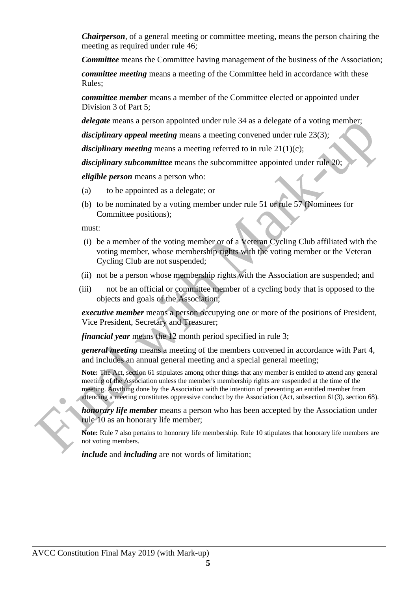*Chairperson*, of a general meeting or committee meeting, means the person chairing the meeting as required under rule 46;

*Committee* means the Committee having management of the business of the Association;

*committee meeting* means a meeting of the Committee held in accordance with these Rules;

*committee member* means a member of the Committee elected or appointed under Division 3 of Part 5;

*delegate* means a person appointed under rule 34 as a delegate of a voting member;

*disciplinary appeal meeting* means a meeting convened under rule 23(3);

*disciplinary meeting* means a meeting referred to in rule 21(1)(c);

*disciplinary subcommittee* means the subcommittee appointed under rule 20;

*eligible person* means a person who:

- (a) to be appointed as a delegate; or
- (b) to be nominated by a voting member under rule 51 or rule 57 (Nominees for Committee positions);

must:

- (i) be a member of the voting member or of a Veteran Cycling Club affiliated with the voting member, whose membership rights with the voting member or the Veteran Cycling Club are not suspended;
- (ii) not be a person whose membership rights with the Association are suspended; and
- (iii) not be an official or committee member of a cycling body that is opposed to the objects and goals of the Association;

*executive member* means a person occupying one or more of the positions of President, Vice President, Secretary and Treasurer;

*financial year means the 12 month period specified in rule 3;* 

*general meeting* means a meeting of the members convened in accordance with Part 4, and includes an annual general meeting and a special general meeting;

**Note:** The Act, section 61 stipulates among other things that any member is entitled to attend any general meeting of the Association unless the member's membership rights are suspended at the time of the meeting. Anything done by the Association with the intention of preventing an entitled member from attending a meeting constitutes oppressive conduct by the Association (Act, subsection 61(3), section 68).

*honorary life member* means a person who has been accepted by the Association under rule 10 as an honorary life member;

**Note:** Rule 7 also pertains to honorary life membership. Rule 10 stipulates that honorary life members are not voting members.

*include* and *including* are not words of limitation;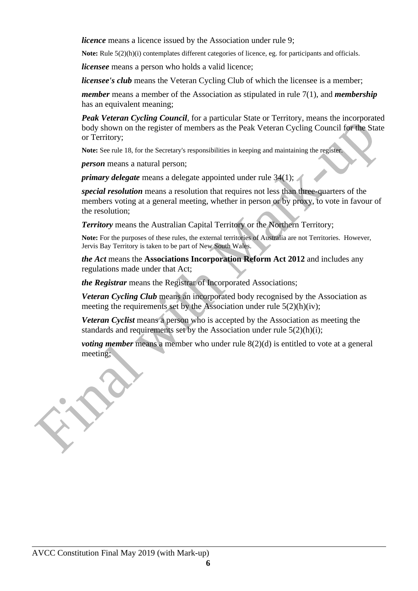*licence* means a licence issued by the Association under rule 9;

**Note:** Rule 5(2)(h)(i) contemplates different categories of licence, eg. for participants and officials.

*licensee* means a person who holds a valid licence;

*licensee's club* means the Veteran Cycling Club of which the licensee is a member;

*member* means a member of the Association as stipulated in rule 7(1), and *membership* has an equivalent meaning;

*Peak Veteran Cycling Council*, for a particular State or Territory, means the incorporated body shown on the register of members as the Peak Veteran Cycling Council for the State or Territory;

**Note:** See rule 18, for the Secretary's responsibilities in keeping and maintaining the register.

*person* means a natural person;

*primary delegate* means a delegate appointed under rule 34(1);

*special resolution* means a resolution that requires not less than three-quarters of the members voting at a general meeting, whether in person or by proxy, to vote in favour of the resolution;

**Territory** means the Australian Capital Territory or the Northern Territory;

**Note:** For the purposes of these rules, the external territories of Australia are not Territories. However, Jervis Bay Territory is taken to be part of New South Wales.

*the Act* means the **Associations Incorporation Reform Act 2012** and includes any regulations made under that Act;

*the Registrar* means the Registrar of Incorporated Associations;

*Veteran Cycling Club* means an incorporated body recognised by the Association as meeting the requirements set by the Association under rule 5(2)(h)(iv);

*Veteran Cyclist* means a person who is accepted by the Association as meeting the standards and requirements set by the Association under rule 5(2)(h)(i);

*voting member* means a member who under rule 8(2)(d) is entitled to vote at a general meeting;

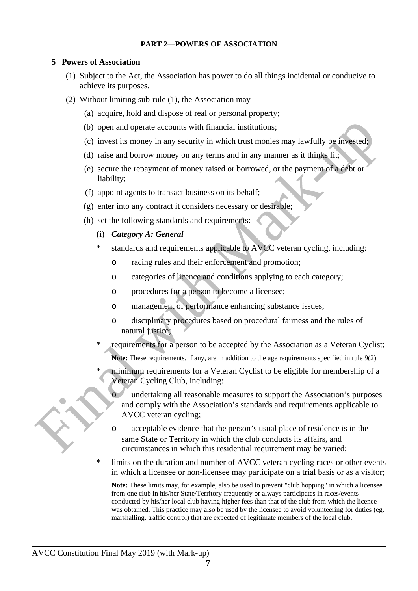#### <span id="page-6-1"></span>**PART 2—POWERS OF ASSOCIATION**

#### <span id="page-6-0"></span>**5 Powers of Association**

- (1) Subject to the Act, the Association has power to do all things incidental or conducive to achieve its purposes.
- (2) Without limiting sub-rule (1), the Association may—
	- (a) acquire, hold and dispose of real or personal property;
	- (b) open and operate accounts with financial institutions;
	- (c) invest its money in any security in which trust monies may lawfully be invested;
	- (d) raise and borrow money on any terms and in any manner as it thinks fit;
	- (e) secure the repayment of money raised or borrowed, or the payment of a debt or liability;
	- (f) appoint agents to transact business on its behalf;
	- (g) enter into any contract it considers necessary or desirable;
	- (h) set the following standards and requirements:
		- (i) *Category A: General*
		- \* standards and requirements applicable to AVCC veteran cycling, including:
			- o racing rules and their enforcement and promotion;
			- o categories of licence and conditions applying to each category;
			- o procedures for a person to become a licensee;
			- o management of performance enhancing substance issues;
			- o disciplinary procedures based on procedural fairness and the rules of natural justice;
		- requirements for a person to be accepted by the Association as a Veteran Cyclist; **Note:** These requirements, if any, are in addition to the age requirements specified in rule 9(2).
		- minimum requirements for a Veteran Cyclist to be eligible for membership of a Veteran Cycling Club, including:
			- undertaking all reasonable measures to support the Association's purposes and comply with the Association's standards and requirements applicable to AVCC veteran cycling;
			- o acceptable evidence that the person's usual place of residence is in the same State or Territory in which the club conducts its affairs, and circumstances in which this residential requirement may be varied;
		- limits on the duration and number of AVCC veteran cycling races or other events in which a licensee or non-licensee may participate on a trial basis or as a visitor;

**Note:** These limits may, for example, also be used to prevent "club hopping" in which a licensee from one club in his/her State/Territory frequently or always participates in races/events conducted by his/her local club having higher fees than that of the club from which the licence was obtained. This practice may also be used by the licensee to avoid volunteering for duties (eg. marshalling, traffic control) that are expected of legitimate members of the local club.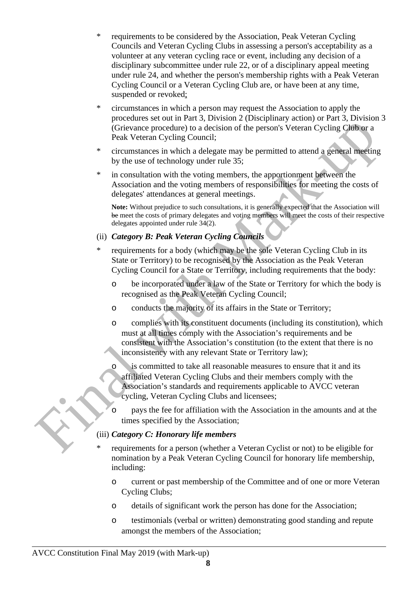- requirements to be considered by the Association, Peak Veteran Cycling Councils and Veteran Cycling Clubs in assessing a person's acceptability as a volunteer at any veteran cycling race or event, including any decision of a disciplinary subcommittee under rule 22, or of a disciplinary appeal meeting under rule 24, and whether the person's membership rights with a Peak Veteran Cycling Council or a Veteran Cycling Club are, or have been at any time, suspended or revoked;
- \* circumstances in which a person may request the Association to apply the procedures set out in Part 3, Division 2 (Disciplinary action) or Part 3, Division 3 (Grievance procedure) to a decision of the person's Veteran Cycling Club or a Peak Veteran Cycling Council;
- \* circumstances in which a delegate may be permitted to attend a general meeting by the use of technology under rule 35;
- \* in consultation with the voting members, the apportionment between the Association and the voting members of responsibilities for meeting the costs of delegates' attendances at general meetings.

**Note:** Without prejudice to such consultations, it is generally expected that the Association will be meet the costs of primary delegates and voting members will meet the costs of their respective delegates appointed under rule 34(2).

## (ii) *Category B: Peak Veteran Cycling Councils*

- \* requirements for a body (which may be the sole Veteran Cycling Club in its State or Territory) to be recognised by the Association as the Peak Veteran Cycling Council for a State or Territory, including requirements that the body:
	- o be incorporated under a law of the State or Territory for which the body is recognised as the Peak Veteran Cycling Council;
	- o conducts the majority of its affairs in the State or Territory;
	- o complies with its constituent documents (including its constitution), which must at all times comply with the Association's requirements and be consistent with the Association's constitution (to the extent that there is no inconsistency with any relevant State or Territory law);
	- o is committed to take all reasonable measures to ensure that it and its affiliated Veteran Cycling Clubs and their members comply with the Association's standards and requirements applicable to AVCC veteran cycling, Veteran Cycling Clubs and licensees;
	- pays the fee for affiliation with the Association in the amounts and at the times specified by the Association;

## (iii) *Category C: Honorary life members*

- requirements for a person (whether a Veteran Cyclist or not) to be eligible for nomination by a Peak Veteran Cycling Council for honorary life membership, including:
	- o current or past membership of the Committee and of one or more Veteran Cycling Clubs;
	- o details of significant work the person has done for the Association;
	- o testimonials (verbal or written) demonstrating good standing and repute amongst the members of the Association;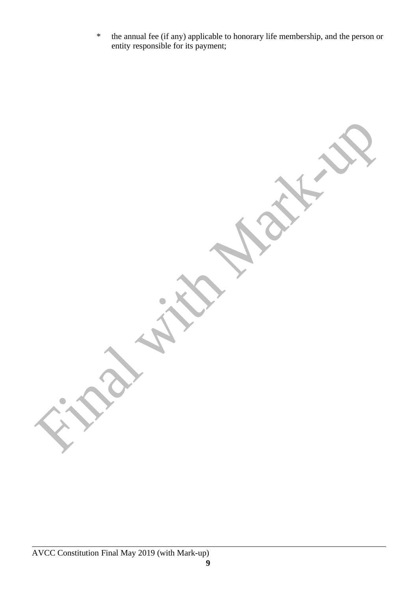\* the annual fee (if any) applicable to honorary life membership, and the person or entity responsible for its payment;

AVCC Constitution Final May 2019 (with Mark-up)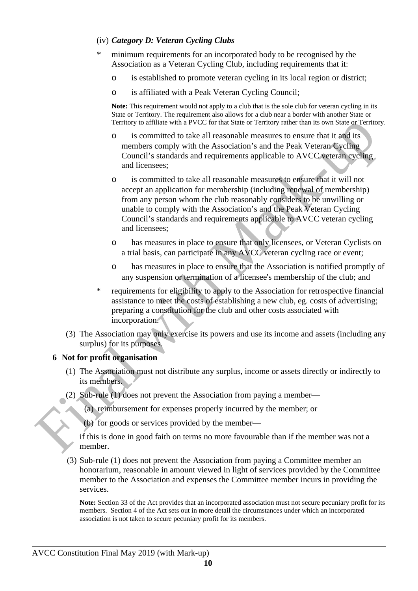## (iv) *Category D: Veteran Cycling Clubs*

- minimum requirements for an incorporated body to be recognised by the Association as a Veteran Cycling Club, including requirements that it:
	- o is established to promote veteran cycling in its local region or district;
	- o is affiliated with a Peak Veteran Cycling Council;

**Note:** This requirement would not apply to a club that is the sole club for veteran cycling in its State or Territory. The requirement also allows for a club near a border with another State or Territory to affiliate with a PVCC for that State or Territory rather than its own State or Territory.

- o is committed to take all reasonable measures to ensure that it and its members comply with the Association's and the Peak Veteran Cycling Council's standards and requirements applicable to AVCC veteran cycling and licensees;
- o is committed to take all reasonable measures to ensure that it will not accept an application for membership (including renewal of membership) from any person whom the club reasonably considers to be unwilling or unable to comply with the Association's and the Peak Veteran Cycling Council's standards and requirements applicable to AVCC veteran cycling and licensees;
- o has measures in place to ensure that only licensees, or Veteran Cyclists on a trial basis, can participate in any AVCC veteran cycling race or event;
- o has measures in place to ensure that the Association is notified promptly of any suspension or termination of a licensee's membership of the club; and
- \* requirements for eligibility to apply to the Association for retrospective financial assistance to meet the costs of establishing a new club, eg. costs of advertising; preparing a constitution for the club and other costs associated with incorporation.
- (3) The Association may only exercise its powers and use its income and assets (including any surplus) for its purposes.

## <span id="page-9-0"></span>**6 Not for profit organisation**

- (1) The Association must not distribute any surplus, income or assets directly or indirectly to its members.
- (2) Sub-rule (1) does not prevent the Association from paying a member—
	- (a) reimbursement for expenses properly incurred by the member; or
	- (b) for goods or services provided by the member—

if this is done in good faith on terms no more favourable than if the member was not a member.

(3) Sub-rule (1) does not prevent the Association from paying a Committee member an honorarium, reasonable in amount viewed in light of services provided by the Committee member to the Association and expenses the Committee member incurs in providing the services.

**Note:** Section 33 of the Act provides that an incorporated association must not secure pecuniary profit for its members. Section 4 of the Act sets out in more detail the circumstances under which an incorporated association is not taken to secure pecuniary profit for its members.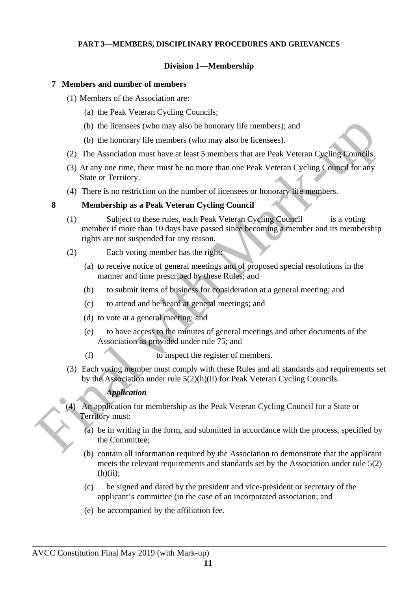#### <span id="page-10-3"></span>**PART 3—MEMBERS, DISCIPLINARY PROCEDURES AND GRIEVANCES**

### <span id="page-10-2"></span>**Division 1—Membership**

#### <span id="page-10-1"></span>**7 Members and number of members**

- (1) Members of the Association are:
	- (a) the Peak Veteran Cycling Councils;
	- (b) the licensees (who may also be honorary life members); and
	- (b) the honorary life members (who may also be licensees).
- (2) The Association must have at least 5 members that are Peak Veteran Cycling Councils.
- (3) At any one time, there must be no more than one Peak Veteran Cycling Council for any State or Territory.
- (4) There is no restriction on the number of licensees or honorary life members.

#### <span id="page-10-0"></span>**8 Membership as a Peak Veteran Cycling Council**

- (1) Subject to these rules, each Peak Veteran Cycling Council is a voting member if more than 10 days have passed since becoming a member and its membership rights are not suspended for any reason.
- (2) Each voting member has the right:
	- (a) to receive notice of general meetings and of proposed special resolutions in the manner and time prescribed by these Rules; and
	- (b) to submit items of business for consideration at a general meeting; and
	- (c) to attend and be heard at general meetings; and
	- (d) to vote at a general meeting; and
	- (e) to have access to the minutes of general meetings and other documents of the Association as provided under rule 75; and
	- (f) to inspect the register of members.
- (3) Each voting member must comply with these Rules and all standards and requirements set by the Association under rule 5(2)(h)(ii) for Peak Veteran Cycling Councils.

#### *Application*

- (4) An application for membership as the Peak Veteran Cycling Council for a State or Territory must:
	- (a) be in writing in the form, and submitted in accordance with the process, specified by the Committee;
	- (b) contain all information required by the Association to demonstrate that the applicant meets the relevant requirements and standards set by the Association under rule 5(2)  $(h)(ii);$
	- (c) be signed and dated by the president and vice-president or secretary of the applicant's committee (in the case of an incorporated association; and
	- (e) be accompanied by the affiliation fee.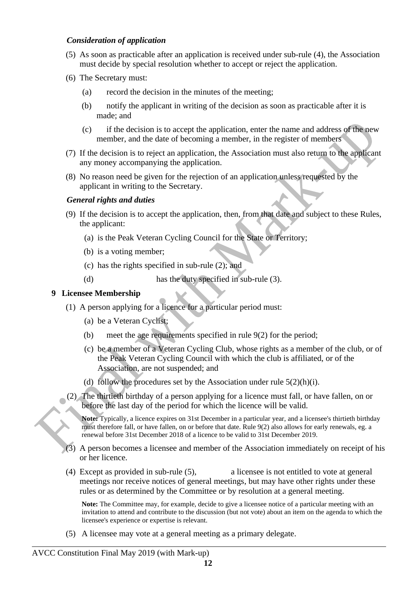### *Consideration of application*

- (5) As soon as practicable after an application is received under sub-rule (4), the Association must decide by special resolution whether to accept or reject the application.
- (6) The Secretary must:
	- (a) record the decision in the minutes of the meeting;
	- (b) notify the applicant in writing of the decision as soon as practicable after it is made; and
	- (c) if the decision is to accept the application, enter the name and address of the new member, and the date of becoming a member, in the register of members
- (7) If the decision is to reject an application, the Association must also return to the applicant any money accompanying the application.
- (8) No reason need be given for the rejection of an application unless requested by the applicant in writing to the Secretary.

#### *General rights and duties*

- (9) If the decision is to accept the application, then, from that date and subject to these Rules, the applicant:
	- (a) is the Peak Veteran Cycling Council for the State or Territory;
	- (b) is a voting member;
	- (c) has the rights specified in sub-rule (2); and
	- (d) has the duty specified in sub-rule (3).

## <span id="page-11-0"></span>**9 Licensee Membership**

- (1) A person applying for a licence for a particular period must:
	- (a) be a Veteran Cyclist;
	- (b) meet the age requirements specified in rule 9(2) for the period;
	- (c) be a member of a Veteran Cycling Club, whose rights as a member of the club, or of the Peak Veteran Cycling Council with which the club is affiliated, or of the Association, are not suspended; and
	- (d) follow the procedures set by the Association under rule 5(2)(h)(i).
- (2) The thirtieth birthday of a person applying for a licence must fall, or have fallen, on or before the last day of the period for which the licence will be valid.

**Note:** Typically, a licence expires on 31st December in a particular year, and a licensee's thirtieth birthday must therefore fall, or have fallen, on or before that date. Rule 9(2) also allows for early renewals, eg. a renewal before 31st December 2018 of a licence to be valid to 31st December 2019.

- (3) A person becomes a licensee and member of the Association immediately on receipt of his or her licence.
- (4) Except as provided in sub-rule (5), a licensee is not entitled to vote at general meetings nor receive notices of general meetings, but may have other rights under these rules or as determined by the Committee or by resolution at a general meeting.

**Note:** The Committee may, for example, decide to give a licensee notice of a particular meeting with an invitation to attend and contribute to the discussion (but not vote) about an item on the agenda to which the licensee's experience or expertise is relevant.

(5) A licensee may vote at a general meeting as a primary delegate.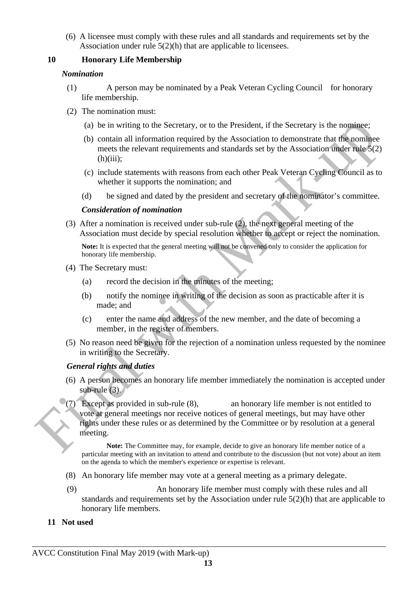(6) A licensee must comply with these rules and all standards and requirements set by the Association under rule 5(2)(h) that are applicable to licensees.

## <span id="page-12-1"></span>**10 Honorary Life Membership**

#### *Nomination*

- (1) A person may be nominated by a Peak Veteran Cycling Council for honorary life membership.
- (2) The nomination must:
	- (a) be in writing to the Secretary, or to the President, if the Secretary is the nominee;
	- (b) contain all information required by the Association to demonstrate that the nominee meets the relevant requirements and standards set by the Association under rule 5(2)  $(h)(iii)$ ;
	- (c) include statements with reasons from each other Peak Veteran Cycling Council as to whether it supports the nomination; and
	- (d) be signed and dated by the president and secretary of the nominator's committee.

#### *Consideration of nomination*

(3) After a nomination is received under sub-rule (2), the next general meeting of the Association must decide by special resolution whether to accept or reject the nomination.

**Note:** It is expected that the general meeting will not be convened only to consider the application for honorary life membership.

- (4) The Secretary must:
	- (a) record the decision in the minutes of the meeting;
	- (b) notify the nominee in writing of the decision as soon as practicable after it is made; and
	- (c) enter the name and address of the new member, and the date of becoming a member, in the register of members.
- (5) No reason need be given for the rejection of a nomination unless requested by the nominee in writing to the Secretary.

#### *General rights and duties*

- (6) A person becomes an honorary life member immediately the nomination is accepted under sub-rule (3).
- $^{\circ}$ (7) Except as provided in sub-rule (8), an honorary life member is not entitled to vote at general meetings nor receive notices of general meetings, but may have other rights under these rules or as determined by the Committee or by resolution at a general meeting.

**Note:** The Committee may, for example, decide to give an honorary life member notice of a particular meeting with an invitation to attend and contribute to the discussion (but not vote) about an item on the agenda to which the member's experience or expertise is relevant.

- (8) An honorary life member may vote at a general meeting as a primary delegate.
- (9) An honorary life member must comply with these rules and all standards and requirements set by the Association under rule 5(2)(h) that are applicable to honorary life members.
- <span id="page-12-0"></span>**11 Not used**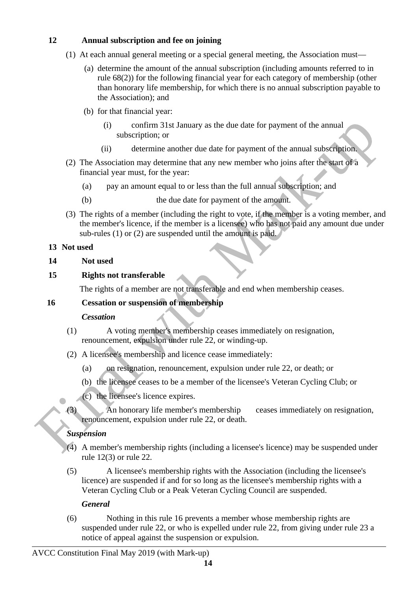## <span id="page-13-4"></span>**12 Annual subscription and fee on joining**

- (1) At each annual general meeting or a special general meeting, the Association must—
	- (a) determine the amount of the annual subscription (including amounts referred to in rule 68(2)) for the following financial year for each category of membership (other than honorary life membership, for which there is no annual subscription payable to the Association); and
	- (b) for that financial year:
		- (i) confirm 31st January as the due date for payment of the annual subscription; or
		- (ii) determine another due date for payment of the annual subscription.
- (2) The Association may determine that any new member who joins after the start of a financial year must, for the year:
	- (a) pay an amount equal to or less than the full annual subscription; and
	- (b) the due date for payment of the amount.
- (3) The rights of a member (including the right to vote, if the member is a voting member, and the member's licence, if the member is a licensee) who has not paid any amount due under sub-rules (1) or (2) are suspended until the amount is paid.

## <span id="page-13-3"></span>**13 Not used**

## <span id="page-13-2"></span>**14 Not used**

## <span id="page-13-1"></span>**15 Rights not transferable**

The rights of a member are not transferable and end when membership ceases.

## <span id="page-13-0"></span>**16 Cessation or suspension of membership**

## *Cessation*

- (1) A voting member's membership ceases immediately on resignation, renouncement, expulsion under rule 22, or winding-up.
- (2) A licensee's membership and licence cease immediately:
	- (a) on resignation, renouncement, expulsion under rule 22, or death; or
	- (b) the licensee ceases to be a member of the licensee's Veteran Cycling Club; or
	- (c) the licensee's licence expires.

(3) An honorary life member's membership ceases immediately on resignation, renouncement, expulsion under rule 22, or death.

## *Suspension*

 $\bullet$ 

- (4) A member's membership rights (including a licensee's licence) may be suspended under rule 12(3) or rule 22.
- (5) A licensee's membership rights with the Association (including the licensee's licence) are suspended if and for so long as the licensee's membership rights with a Veteran Cycling Club or a Peak Veteran Cycling Council are suspended.

## *General*

(6) Nothing in this rule 16 prevents a member whose membership rights are suspended under rule 22, or who is expelled under rule 22, from giving under rule 23 a notice of appeal against the suspension or expulsion.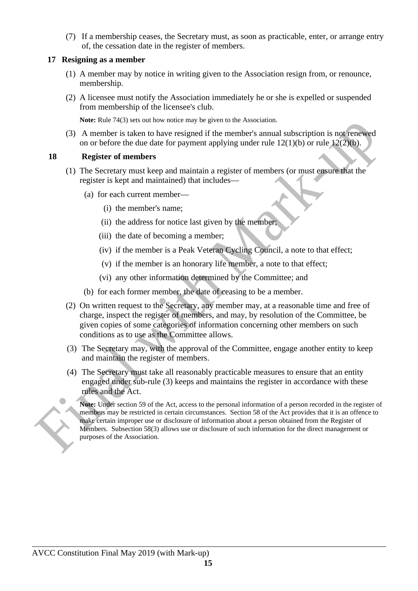(7) If a membership ceases, the Secretary must, as soon as practicable, enter, or arrange entry of, the cessation date in the register of members.

### <span id="page-14-1"></span>**17 Resigning as a member**

- (1) A member may by notice in writing given to the Association resign from, or renounce, membership.
- (2) A licensee must notify the Association immediately he or she is expelled or suspended from membership of the licensee's club.

**Note:** Rule 74(3) sets out how notice may be given to the Association.

(3) A member is taken to have resigned if the member's annual subscription is not renewed on or before the due date for payment applying under rule  $12(1)(b)$  or rule  $12(2)(b)$ .

## <span id="page-14-0"></span>**18 Register of members**

- (1) The Secretary must keep and maintain a register of members (or must ensure that the register is kept and maintained) that includes—
	- (a) for each current member—
		- (i) the member's name;
		- (ii) the address for notice last given by the member;
		- (iii) the date of becoming a member;
		- (iv) if the member is a Peak Veteran Cycling Council, a note to that effect;
		- (v) if the member is an honorary life member, a note to that effect;
		- (vi) any other information determined by the Committee; and
	- (b) for each former member, the date of ceasing to be a member.
- (2) On written request to the Secretary, any member may, at a reasonable time and free of charge, inspect the register of members, and may, by resolution of the Committee, be given copies of some categories of information concerning other members on such conditions as to use as the Committee allows.
- (3) The Secretary may, with the approval of the Committee, engage another entity to keep and maintain the register of members.
- (4) The Secretary must take all reasonably practicable measures to ensure that an entity engaged under sub-rule (3) keeps and maintains the register in accordance with these rules and the Act.

**Note:** Under section 59 of the Act, access to the personal information of a person recorded in the register of members may be restricted in certain circumstances. Section 58 of the Act provides that it is an offence to make certain improper use or disclosure of information about a person obtained from the Register of Members. Subsection 58(3) allows use or disclosure of such information for the direct management or purposes of the Association.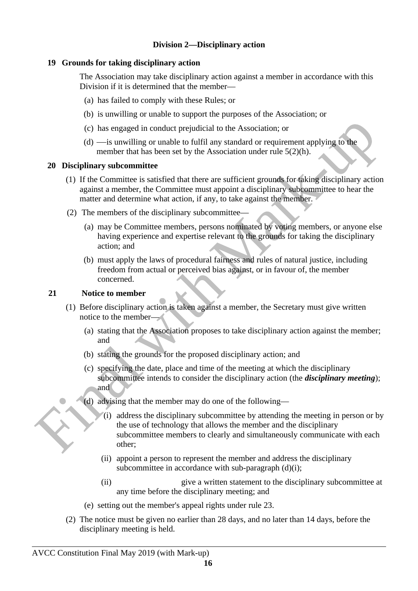## <span id="page-15-3"></span>**Division 2—Disciplinary action**

### <span id="page-15-2"></span>**19 Grounds for taking disciplinary action**

The Association may take disciplinary action against a member in accordance with this Division if it is determined that the member—

- (a) has failed to comply with these Rules; or
- (b) is unwilling or unable to support the purposes of the Association; or
- (c) has engaged in conduct prejudicial to the Association; or
- (d) is unwilling or unable to fulfil any standard or requirement applying to the member that has been set by the Association under rule 5(2)(h).

#### <span id="page-15-1"></span>**20 Disciplinary subcommittee**

- (1) If the Committee is satisfied that there are sufficient grounds for taking disciplinary action against a member, the Committee must appoint a disciplinary subcommittee to hear the matter and determine what action, if any, to take against the member.
- (2) The members of the disciplinary subcommittee—
	- (a) may be Committee members, persons nominated by voting members, or anyone else having experience and expertise relevant to the grounds for taking the disciplinary action; and
	- (b) must apply the laws of procedural fairness and rules of natural justice, including freedom from actual or perceived bias against, or in favour of, the member concerned.

## <span id="page-15-0"></span>**21 Notice to member**

- (1) Before disciplinary action is taken against a member, the Secretary must give written notice to the member—
	- (a) stating that the Association proposes to take disciplinary action against the member; and
	- (b) stating the grounds for the proposed disciplinary action; and
	- (c) specifying the date, place and time of the meeting at which the disciplinary subcommittee intends to consider the disciplinary action (the *disciplinary meeting*); and
	- (d) advising that the member may do one of the following—
		- (i) address the disciplinary subcommittee by attending the meeting in person or by the use of technology that allows the member and the disciplinary subcommittee members to clearly and simultaneously communicate with each other;
		- (ii) appoint a person to represent the member and address the disciplinary subcommittee in accordance with sub-paragraph (d)(i);
		- (ii) give a written statement to the disciplinary subcommittee at any time before the disciplinary meeting; and
	- (e) setting out the member's appeal rights under rule 23.
- (2) The notice must be given no earlier than 28 days, and no later than 14 days, before the disciplinary meeting is held.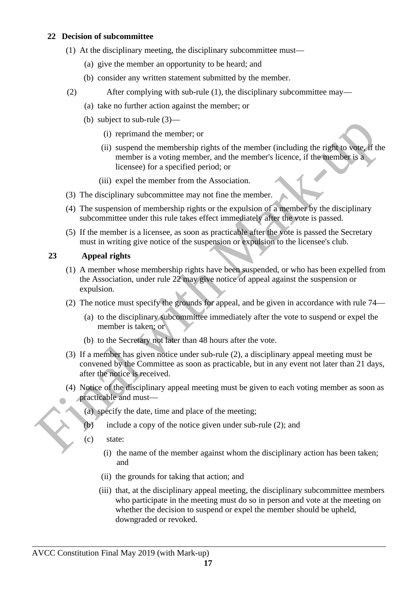## <span id="page-16-1"></span>**22 Decision of subcommittee**

- (1) At the disciplinary meeting, the disciplinary subcommittee must—
	- (a) give the member an opportunity to be heard; and
	- (b) consider any written statement submitted by the member.
- (2) After complying with sub-rule (1), the disciplinary subcommittee may—
	- (a) take no further action against the member; or
	- (b) subject to sub-rule (3)—
		- (i) reprimand the member; or
		- (ii) suspend the membership rights of the member (including the right to vote, if the member is a voting member, and the member's licence, if the member is a licensee) for a specified period; or
		- (iii) expel the member from the Association.
- (3) The disciplinary subcommittee may not fine the member.
- (4) The suspension of membership rights or the expulsion of a member by the disciplinary subcommittee under this rule takes effect immediately after the vote is passed.
- (5) If the member is a licensee, as soon as practicable after the vote is passed the Secretary must in writing give notice of the suspension or expulsion to the licensee's club.

## <span id="page-16-0"></span>**23 Appeal rights**

- (1) A member whose membership rights have been suspended, or who has been expelled from the Association, under rule 22 may give notice of appeal against the suspension or expulsion.
- (2) The notice must specify the grounds for appeal, and be given in accordance with rule 74—
	- (a) to the disciplinary subcommittee immediately after the vote to suspend or expel the member is taken; or
	- (b) to the Secretary not later than 48 hours after the vote.
- (3) If a member has given notice under sub-rule (2), a disciplinary appeal meeting must be convened by the Committee as soon as practicable, but in any event not later than 21 days, after the notice is received.
- (4) Notice of the disciplinary appeal meeting must be given to each voting member as soon as practicable and must—
	- (a) specify the date, time and place of the meeting;
	- (b) include a copy of the notice given under sub-rule (2); and
	- (c) state:
		- (i) the name of the member against whom the disciplinary action has been taken; and
		- (ii) the grounds for taking that action; and
		- (iii) that, at the disciplinary appeal meeting, the disciplinary subcommittee members who participate in the meeting must do so in person and vote at the meeting on whether the decision to suspend or expel the member should be upheld, downgraded or revoked.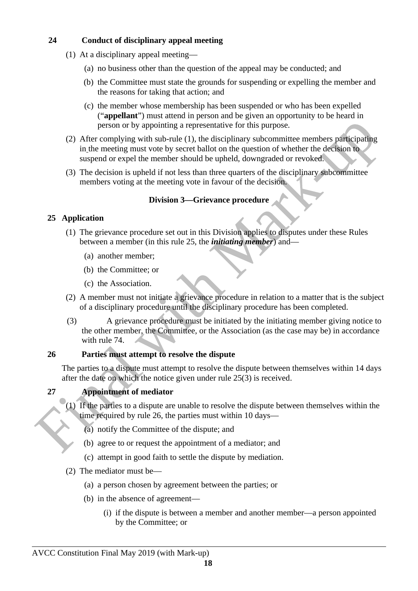## <span id="page-17-4"></span>**24 Conduct of disciplinary appeal meeting**

- (1) At a disciplinary appeal meeting—
	- (a) no business other than the question of the appeal may be conducted; and
	- (b) the Committee must state the grounds for suspending or expelling the member and the reasons for taking that action; and
	- (c) the member whose membership has been suspended or who has been expelled ("**appellant**") must attend in person and be given an opportunity to be heard in person or by appointing a representative for this purpose.
- (2) After complying with sub-rule (1), the disciplinary subcommittee members participating in the meeting must vote by secret ballot on the question of whether the decision to suspend or expel the member should be upheld, downgraded or revoked.
- (3) The decision is upheld if not less than three quarters of the disciplinary subcommittee members voting at the meeting vote in favour of the decision.

## <span id="page-17-3"></span>**Division 3—Grievance procedure**

## <span id="page-17-2"></span>**25 Application**

- (1) The grievance procedure set out in this Division applies to disputes under these Rules between a member (in this rule 25, the *initiating member*) and—
	- (a) another member;
	- (b) the Committee; or
	- (c) the Association.
- (2) A member must not initiate a grievance procedure in relation to a matter that is the subject of a disciplinary procedure until the disciplinary procedure has been completed.
- (3) A grievance procedure must be initiated by the initiating member giving notice to the other member, the Committee, or the Association (as the case may be) in accordance with rule 74.

## <span id="page-17-1"></span>**26 Parties must attempt to resolve the dispute**

The parties to a dispute must attempt to resolve the dispute between themselves within 14 days after the date on which the notice given under rule 25(3) is received.

## <span id="page-17-0"></span>**27 Appointment of mediator**

- (1) If the parties to a dispute are unable to resolve the dispute between themselves within the time required by rule 26, the parties must within 10 days—
	- (a) notify the Committee of the dispute; and
	- (b) agree to or request the appointment of a mediator; and
	- (c) attempt in good faith to settle the dispute by mediation.
- (2) The mediator must be—
	- (a) a person chosen by agreement between the parties; or
	- (b) in the absence of agreement—
		- (i) if the dispute is between a member and another member—a person appointed by the Committee; or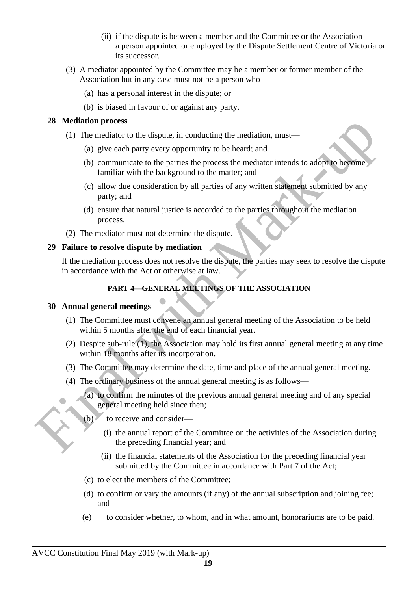- (ii) if the dispute is between a member and the Committee or the Association a person appointed or employed by the Dispute Settlement Centre of Victoria or its successor.
- (3) A mediator appointed by the Committee may be a member or former member of the Association but in any case must not be a person who—
	- (a) has a personal interest in the dispute; or
	- (b) is biased in favour of or against any party.

## <span id="page-18-3"></span>**28 Mediation process**

- (1) The mediator to the dispute, in conducting the mediation, must—
	- (a) give each party every opportunity to be heard; and
	- (b) communicate to the parties the process the mediator intends to adopt to become familiar with the background to the matter; and
	- (c) allow due consideration by all parties of any written statement submitted by any party; and
	- (d) ensure that natural justice is accorded to the parties throughout the mediation process.
- (2) The mediator must not determine the dispute.

## <span id="page-18-2"></span>**29 Failure to resolve dispute by mediation**

If the mediation process does not resolve the dispute, the parties may seek to resolve the dispute in accordance with the Act or otherwise at law.

## <span id="page-18-1"></span>**PART 4—GENERAL MEETINGS OF THE ASSOCIATION**

## <span id="page-18-0"></span>**30 Annual general meetings**

- (1) The Committee must convene an annual general meeting of the Association to be held within 5 months after the end of each financial year.
- (2) Despite sub-rule (1), the Association may hold its first annual general meeting at any time within 18 months after its incorporation.
- (3) The Committee may determine the date, time and place of the annual general meeting.
- (4) The ordinary business of the annual general meeting is as follows—
	- (a) to confirm the minutes of the previous annual general meeting and of any special general meeting held since then;
	- (b) to receive and consider—
		- (i) the annual report of the Committee on the activities of the Association during the preceding financial year; and
		- (ii) the financial statements of the Association for the preceding financial year submitted by the Committee in accordance with Part 7 of the Act;
	- (c) to elect the members of the Committee;
	- (d) to confirm or vary the amounts (if any) of the annual subscription and joining fee; and
	- (e) to consider whether, to whom, and in what amount, honorariums are to be paid.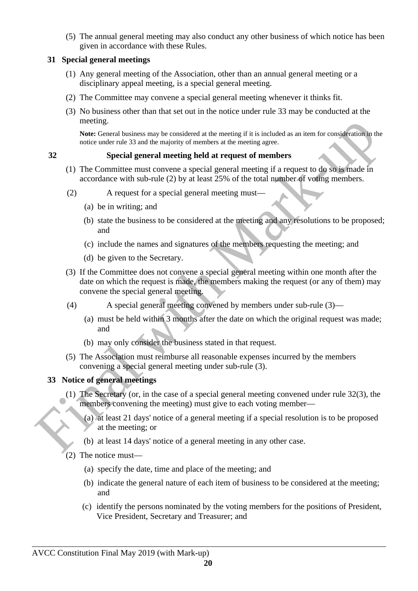(5) The annual general meeting may also conduct any other business of which notice has been given in accordance with these Rules.

## <span id="page-19-2"></span>**31 Special general meetings**

- (1) Any general meeting of the Association, other than an annual general meeting or a disciplinary appeal meeting, is a special general meeting.
- (2) The Committee may convene a special general meeting whenever it thinks fit.
- (3) No business other than that set out in the notice under rule 33 may be conducted at the meeting.

**Note:** General business may be considered at the meeting if it is included as an item for consideration in the notice under rule 33 and the majority of members at the meeting agree.

### <span id="page-19-1"></span>**32 Special general meeting held at request of members**

- (1) The Committee must convene a special general meeting if a request to do so is made in accordance with sub-rule (2) by at least 25% of the total number of voting members.
- (2) A request for a special general meeting must—
	- (a) be in writing; and
	- (b) state the business to be considered at the meeting and any resolutions to be proposed; and
	- (c) include the names and signatures of the members requesting the meeting; and
	- (d) be given to the Secretary.
- (3) If the Committee does not convene a special general meeting within one month after the date on which the request is made, the members making the request (or any of them) may convene the special general meeting.
- (4) A special general meeting convened by members under sub-rule (3)—
	- (a) must be held within 3 months after the date on which the original request was made; and
	- (b) may only consider the business stated in that request.
- (5) The Association must reimburse all reasonable expenses incurred by the members convening a special general meeting under sub-rule (3).

#### <span id="page-19-0"></span>**33 Notice of general meetings**

- (1) The Secretary (or, in the case of a special general meeting convened under rule 32(3), the members convening the meeting) must give to each voting member—
	- (a) at least 21 days' notice of a general meeting if a special resolution is to be proposed at the meeting; or
	- (b) at least 14 days' notice of a general meeting in any other case.
- (2) The notice must—
	- (a) specify the date, time and place of the meeting; and
	- (b) indicate the general nature of each item of business to be considered at the meeting; and
	- (c) identify the persons nominated by the voting members for the positions of President, Vice President, Secretary and Treasurer; and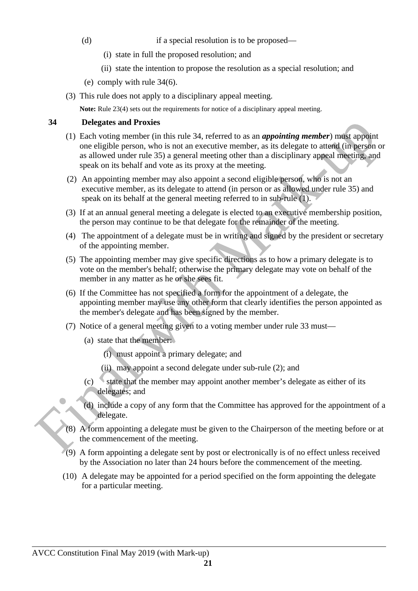(d) if a special resolution is to be proposed—

- (i) state in full the proposed resolution; and
- (ii) state the intention to propose the resolution as a special resolution; and
- (e) comply with rule 34(6).
- (3) This rule does not apply to a disciplinary appeal meeting.

**Note:** Rule 23(4) sets out the requirements for notice of a disciplinary appeal meeting.

## <span id="page-20-0"></span>**34 Delegates and Proxies**

- (1) Each voting member (in this rule 34, referred to as an *appointing member*) must appoint one eligible person, who is not an executive member, as its delegate to attend (in person or as allowed under rule 35) a general meeting other than a disciplinary appeal meeting, and speak on its behalf and vote as its proxy at the meeting.
- (2) An appointing member may also appoint a second eligible person, who is not an executive member, as its delegate to attend (in person or as allowed under rule 35) and speak on its behalf at the general meeting referred to in sub-rule (1).
- (3) If at an annual general meeting a delegate is elected to an executive membership position, the person may continue to be that delegate for the remainder of the meeting.
- (4) The appointment of a delegate must be in writing and signed by the president or secretary of the appointing member.
- (5) The appointing member may give specific directions as to how a primary delegate is to vote on the member's behalf; otherwise the primary delegate may vote on behalf of the member in any matter as he or she sees fit.
- (6) If the Committee has not specified a form for the appointment of a delegate, the appointing member may use any other form that clearly identifies the person appointed as the member's delegate and has been signed by the member.
- (7) Notice of a general meeting given to a voting member under rule 33 must—
	- (a) state that the member:
		- (i) must appoint a primary delegate; and
		- (ii) may appoint a second delegate under sub-rule (2); and
	- (c) state that the member may appoint another member's delegate as either of its delegates; and
	- (d) include a copy of any form that the Committee has approved for the appointment of a delegate.
- (8) A form appointing a delegate must be given to the Chairperson of the meeting before or at the commencement of the meeting.
- (9) A form appointing a delegate sent by post or electronically is of no effect unless received by the Association no later than 24 hours before the commencement of the meeting.
- (10) A delegate may be appointed for a period specified on the form appointing the delegate for a particular meeting.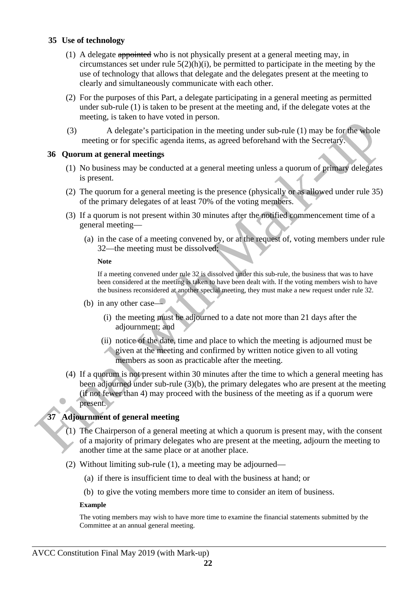#### <span id="page-21-2"></span>**35 Use of technology**

- (1) A delegate appointed who is not physically present at a general meeting may, in circumstances set under rule  $5(2)(h)(i)$ , be permitted to participate in the meeting by the use of technology that allows that delegate and the delegates present at the meeting to clearly and simultaneously communicate with each other.
- (2) For the purposes of this Part, a delegate participating in a general meeting as permitted under sub-rule (1) is taken to be present at the meeting and, if the delegate votes at the meeting, is taken to have voted in person.
- (3) A delegate's participation in the meeting under sub-rule (1) may be for the whole meeting or for specific agenda items, as agreed beforehand with the Secretary.

#### <span id="page-21-1"></span>**36 Quorum at general meetings**

- (1) No business may be conducted at a general meeting unless a quorum of primary delegates is present.
- (2) The quorum for a general meeting is the presence (physically or as allowed under rule 35) of the primary delegates of at least 70% of the voting members.
- (3) If a quorum is not present within 30 minutes after the notified commencement time of a general meeting—
	- (a) in the case of a meeting convened by, or at the request of, voting members under rule 32—the meeting must be dissolved;

#### **Note**

If a meeting convened under rule 32 is dissolved under this sub-rule, the business that was to have been considered at the meeting is taken to have been dealt with. If the voting members wish to have the business reconsidered at another special meeting, they must make a new request under rule 32.

- (b) in any other case—
	- (i) the meeting must be adjourned to a date not more than 21 days after the adjournment; and
	- (ii) notice of the date, time and place to which the meeting is adjourned must be straight at the meeting and confirmed by written notice given to all voting members as soon as practicable after the meeting.
- (4) If a quorum is not present within 30 minutes after the time to which a general meeting has been adjourned under sub-rule (3)(b), the primary delegates who are present at the meeting (if not fewer than 4) may proceed with the business of the meeting as if a quorum were present.

## <span id="page-21-0"></span>**37 Adjournment of general meeting**

- (1) The Chairperson of a general meeting at which a quorum is present may, with the consent of a majority of primary delegates who are present at the meeting, adjourn the meeting to another time at the same place or at another place.
- (2) Without limiting sub-rule (1), a meeting may be adjourned—
	- (a) if there is insufficient time to deal with the business at hand; or
	- (b) to give the voting members more time to consider an item of business.

#### **Example**

The voting members may wish to have more time to examine the financial statements submitted by the Committee at an annual general meeting.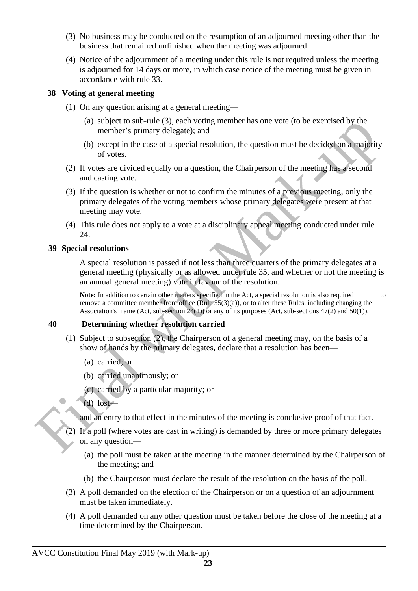- (3) No business may be conducted on the resumption of an adjourned meeting other than the business that remained unfinished when the meeting was adjourned.
- (4) Notice of the adjournment of a meeting under this rule is not required unless the meeting is adjourned for 14 days or more, in which case notice of the meeting must be given in accordance with rule 33.

#### <span id="page-22-2"></span>**38 Voting at general meeting**

- (1) On any question arising at a general meeting—
	- (a) subject to sub-rule (3), each voting member has one vote (to be exercised by the member's primary delegate); and
	- (b) except in the case of a special resolution, the question must be decided on a majority of votes.
- (2) If votes are divided equally on a question, the Chairperson of the meeting has a second and casting vote.
- (3) If the question is whether or not to confirm the minutes of a previous meeting, only the primary delegates of the voting members whose primary delegates were present at that meeting may vote.
- (4) This rule does not apply to a vote at a disciplinary appeal meeting conducted under rule 24.

#### <span id="page-22-1"></span>**39 Special resolutions**

A special resolution is passed if not less than three quarters of the primary delegates at a general meeting (physically or as allowed under rule 35, and whether or not the meeting is an annual general meeting) vote in favour of the resolution.

**Note:** In addition to certain other matters specified in the Act, a special resolution is also required to remove a committee member from office (Rule 55(3)(a)), or to alter these Rules, including changing the Association's name (Act, sub-section 24(1)) or any of its purposes (Act, sub-sections 47(2) and 50(1)).

#### <span id="page-22-0"></span>**40 Determining whether resolution carried**

- (1) Subject to subsection (2), the Chairperson of a general meeting may, on the basis of a show of hands by the primary delegates, declare that a resolution has been—
	- (a) carried; or
	- (b) carried unanimously; or
	- (c) carried by a particular majority; or
	- (d) lost—

and an entry to that effect in the minutes of the meeting is conclusive proof of that fact.

- (2) If a poll (where votes are cast in writing) is demanded by three or more primary delegates on any question—
	- (a) the poll must be taken at the meeting in the manner determined by the Chairperson of the meeting; and
	- (b) the Chairperson must declare the result of the resolution on the basis of the poll.
- (3) A poll demanded on the election of the Chairperson or on a question of an adjournment must be taken immediately.
- (4) A poll demanded on any other question must be taken before the close of the meeting at a time determined by the Chairperson.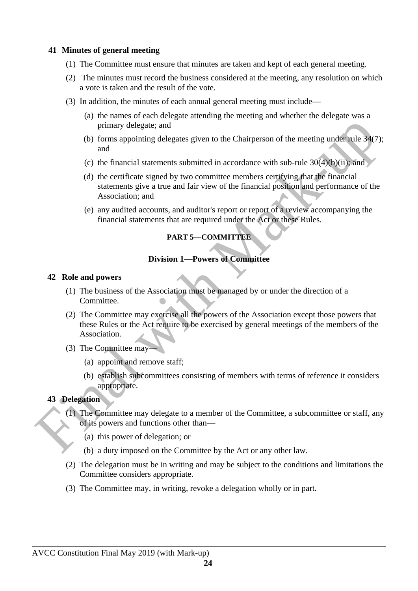#### <span id="page-23-4"></span>**41 Minutes of general meeting**

- (1) The Committee must ensure that minutes are taken and kept of each general meeting.
- (2) The minutes must record the business considered at the meeting, any resolution on which a vote is taken and the result of the vote.
- (3) In addition, the minutes of each annual general meeting must include—
	- (a) the names of each delegate attending the meeting and whether the delegate was a primary delegate; and
	- (b) forms appointing delegates given to the Chairperson of the meeting under rule 34(7); and
	- (c) the financial statements submitted in accordance with sub-rule  $30(4)(b)(ii)$ ; and
	- (d) the certificate signed by two committee members certifying that the financial statements give a true and fair view of the financial position and performance of the Association; and
	- (e) any audited accounts, and auditor's report or report of a review accompanying the financial statements that are required under the Act or these Rules.

## <span id="page-23-3"></span>**PART 5—COMMITTEE**

#### <span id="page-23-2"></span>**Division 1—Powers of Committee**

#### <span id="page-23-1"></span>**42 Role and powers**

- (1) The business of the Association must be managed by or under the direction of a Committee.
- (2) The Committee may exercise all the powers of the Association except those powers that these Rules or the Act require to be exercised by general meetings of the members of the Association.
- (3) The Committee may—
	- (a) appoint and remove staff;
	- (b) establish subcommittees consisting of members with terms of reference it considers appropriate.

## <span id="page-23-0"></span>**43 Delegation**

- (1) The Committee may delegate to a member of the Committee, a subcommittee or staff, any of its powers and functions other than—
	- (a) this power of delegation; or
	- (b) a duty imposed on the Committee by the Act or any other law.
- (2) The delegation must be in writing and may be subject to the conditions and limitations the Committee considers appropriate.
- (3) The Committee may, in writing, revoke a delegation wholly or in part.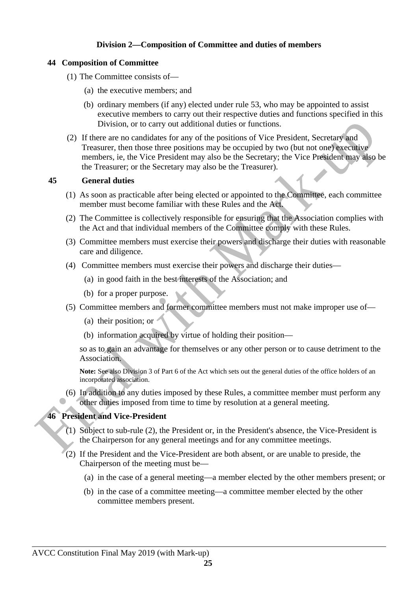## <span id="page-24-2"></span>**Division 2—Composition of Committee and duties of members**

### <span id="page-24-1"></span>**44 Composition of Committee**

- (1) The Committee consists of—
	- (a) the executive members; and
	- (b) ordinary members (if any) elected under rule 53, who may be appointed to assist executive members to carry out their respective duties and functions specified in this Division, or to carry out additional duties or functions.
- (2) If there are no candidates for any of the positions of Vice President, Secretary and Treasurer, then those three positions may be occupied by two (but not one) executive members, ie, the Vice President may also be the Secretary; the Vice President may also be the Treasurer; or the Secretary may also be the Treasurer).

## <span id="page-24-3"></span>**45 General duties**

- (1) As soon as practicable after being elected or appointed to the Committee, each committee member must become familiar with these Rules and the Act.
- (2) The Committee is collectively responsible for ensuring that the Association complies with the Act and that individual members of the Committee comply with these Rules.
- (3) Committee members must exercise their powers and discharge their duties with reasonable care and diligence.
- (4) Committee members must exercise their powers and discharge their duties—
	- (a) in good faith in the best interests of the Association; and
	- (b) for a proper purpose.
- (5) Committee members and former committee members must not make improper use of—
	- (a) their position; or
	- (b) information acquired by virtue of holding their position—

so as to gain an advantage for themselves or any other person or to cause detriment to the Association.

**Note:** See also Division 3 of Part 6 of the Act which sets out the general duties of the office holders of an incorporated association.

(6) In addition to any duties imposed by these Rules, a committee member must perform any other duties imposed from time to time by resolution at a general meeting.

## <span id="page-24-0"></span>**46 President and Vice-President**

- (1) Subject to sub-rule (2), the President or, in the President's absence, the Vice-President is the Chairperson for any general meetings and for any committee meetings.
- (2) If the President and the Vice-President are both absent, or are unable to preside, the Chairperson of the meeting must be—
	- (a) in the case of a general meeting—a member elected by the other members present; or
	- (b) in the case of a committee meeting—a committee member elected by the other committee members present.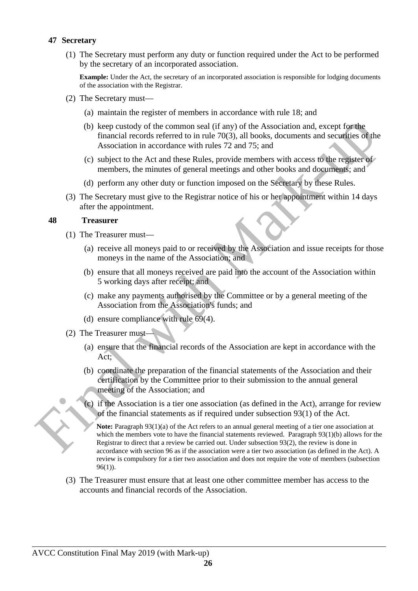#### <span id="page-25-1"></span>**47 Secretary**

(1) The Secretary must perform any duty or function required under the Act to be performed by the secretary of an incorporated association.

**Example:** Under the Act, the secretary of an incorporated association is responsible for lodging documents of the association with the Registrar.

- (2) The Secretary must—
	- (a) maintain the register of members in accordance with rule 18; and
	- (b) keep custody of the common seal (if any) of the Association and, except for the financial records referred to in rule 70(3), all books, documents and securities of the Association in accordance with rules 72 and 75; and
	- (c) subject to the Act and these Rules, provide members with access to the register of members, the minutes of general meetings and other books and documents; and
	- (d) perform any other duty or function imposed on the Secretary by these Rules.
- (3) The Secretary must give to the Registrar notice of his or her appointment within 14 days after the appointment.

#### <span id="page-25-0"></span>**48 Treasurer**

- (1) The Treasurer must—
	- (a) receive all moneys paid to or received by the Association and issue receipts for those moneys in the name of the Association; and
	- (b) ensure that all moneys received are paid into the account of the Association within 5 working days after receipt; and
	- (c) make any payments authorised by the Committee or by a general meeting of the Association from the Association's funds; and
	- (d) ensure compliance with rule 69(4).
- (2) The Treasurer must—
	- (a) ensure that the financial records of the Association are kept in accordance with the Act;
	- (b) coordinate the preparation of the financial statements of the Association and their certification by the Committee prior to their submission to the annual general meeting of the Association; and
	- (c) if the Association is a tier one association (as defined in the Act), arrange for review of the financial statements as if required under subsection 93(1) of the Act.

**Note:** Paragraph 93(1)(a) of the Act refers to an annual general meeting of a tier one association at which the members vote to have the financial statements reviewed. Paragraph 93(1)(b) allows for the Registrar to direct that a review be carried out. Under subsection 93(2), the review is done in accordance with section 96 as if the association were a tier two association (as defined in the Act). A review is compulsory for a tier two association and does not require the vote of members (subsection 96(1)).

(3) The Treasurer must ensure that at least one other committee member has access to the accounts and financial records of the Association.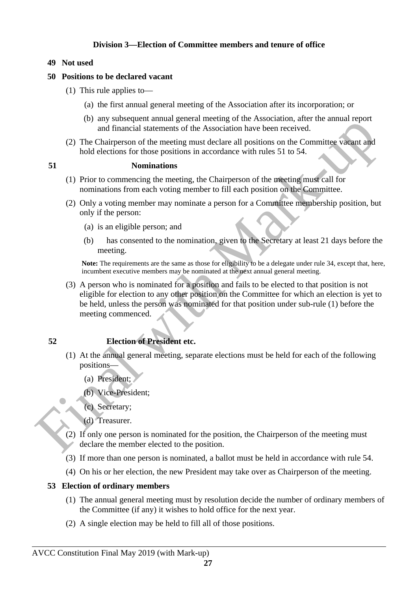## <span id="page-26-5"></span>**Division 3—Election of Committee members and tenure of office**

#### <span id="page-26-4"></span>**49 Not used**

#### <span id="page-26-3"></span>**50 Positions to be declared vacant**

- (1) This rule applies to—
	- (a) the first annual general meeting of the Association after its incorporation; or
	- (b) any subsequent annual general meeting of the Association, after the annual report and financial statements of the Association have been received.
- (2) The Chairperson of the meeting must declare all positions on the Committee vacant and hold elections for those positions in accordance with rules 51 to 54.

#### <span id="page-26-2"></span>**51 Nominations**

- (1) Prior to commencing the meeting, the Chairperson of the meeting must call for nominations from each voting member to fill each position on the Committee.
- (2) Only a voting member may nominate a person for a Committee membership position, but only if the person:
	- (a) is an eligible person; and
	- (b) has consented to the nomination, given to the Secretary at least 21 days before the meeting.

**Note:** The requirements are the same as those for eligibility to be a delegate under rule 34, except that, here, incumbent executive members may be nominated at the next annual general meeting.

(3) A person who is nominated for a position and fails to be elected to that position is not eligible for election to any other position on the Committee for which an election is yet to be held, unless the person was nominated for that position under sub-rule (1) before the meeting commenced.

## <span id="page-26-1"></span>**52 Election of President etc.**

- (1) At the annual general meeting, separate elections must be held for each of the following positions—
	- (a) President;
	- (b) Vice-President;
	- (c) Secretary;
	- (d) Treasurer.
- (2) If only one person is nominated for the position, the Chairperson of the meeting must declare the member elected to the position.
- (3) If more than one person is nominated, a ballot must be held in accordance with rule 54.
- (4) On his or her election, the new President may take over as Chairperson of the meeting.

#### <span id="page-26-0"></span>**53 Election of ordinary members**

- (1) The annual general meeting must by resolution decide the number of ordinary members of the Committee (if any) it wishes to hold office for the next year.
- (2) A single election may be held to fill all of those positions.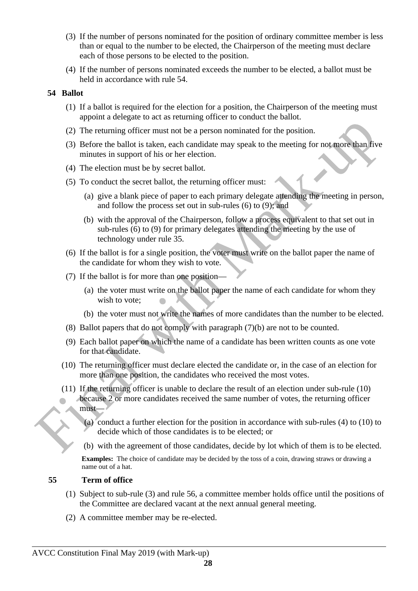- (3) If the number of persons nominated for the position of ordinary committee member is less than or equal to the number to be elected, the Chairperson of the meeting must declare each of those persons to be elected to the position.
- (4) If the number of persons nominated exceeds the number to be elected, a ballot must be held in accordance with rule 54.

## <span id="page-27-1"></span>**54 Ballot**

- (1) If a ballot is required for the election for a position, the Chairperson of the meeting must appoint a delegate to act as returning officer to conduct the ballot.
- (2) The returning officer must not be a person nominated for the position.
- (3) Before the ballot is taken, each candidate may speak to the meeting for not more than five minutes in support of his or her election.
- (4) The election must be by secret ballot.
- (5) To conduct the secret ballot, the returning officer must:
	- (a) give a blank piece of paper to each primary delegate attending the meeting in person, and follow the process set out in sub-rules (6) to (9); and
	- (b) with the approval of the Chairperson, follow a process equivalent to that set out in sub-rules (6) to (9) for primary delegates attending the meeting by the use of technology under rule 35.
- (6) If the ballot is for a single position, the voter must write on the ballot paper the name of the candidate for whom they wish to vote.
- (7) If the ballot is for more than one position—
	- (a) the voter must write on the ballot paper the name of each candidate for whom they wish to vote;
	- (b) the voter must not write the names of more candidates than the number to be elected.
- (8) Ballot papers that do not comply with paragraph (7)(b) are not to be counted.
- (9) Each ballot paper on which the name of a candidate has been written counts as one vote for that candidate.
- (10) The returning officer must declare elected the candidate or, in the case of an election for more than one position, the candidates who received the most votes.
- (11) If the returning officer is unable to declare the result of an election under sub-rule (10) because 2 or more candidates received the same number of votes, the returning officer must—
	- (a) conduct a further election for the position in accordance with sub-rules (4) to (10) to decide which of those candidates is to be elected; or
	- (b) with the agreement of those candidates, decide by lot which of them is to be elected.

**Examples:** The choice of candidate may be decided by the toss of a coin, drawing straws or drawing a name out of a hat.

## <span id="page-27-0"></span>**55 Term of office**

- (1) Subject to sub-rule (3) and rule 56, a committee member holds office until the positions of the Committee are declared vacant at the next annual general meeting.
- (2) A committee member may be re-elected.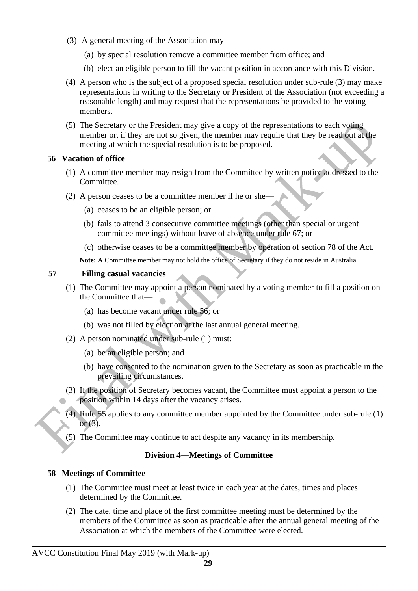- (3) A general meeting of the Association may—
	- (a) by special resolution remove a committee member from office; and
	- (b) elect an eligible person to fill the vacant position in accordance with this Division.
- (4) A person who is the subject of a proposed special resolution under sub-rule (3) may make representations in writing to the Secretary or President of the Association (not exceeding a reasonable length) and may request that the representations be provided to the voting members.
- (5) The Secretary or the President may give a copy of the representations to each voting member or, if they are not so given, the member may require that they be read out at the meeting at which the special resolution is to be proposed.

## <span id="page-28-3"></span>**56 Vacation of office**

- (1) A committee member may resign from the Committee by written notice addressed to the Committee.
- (2) A person ceases to be a committee member if he or she
	- (a) ceases to be an eligible person; or
	- (b) fails to attend 3 consecutive committee meetings (other than special or urgent committee meetings) without leave of absence under rule 67; or
	- (c) otherwise ceases to be a committee member by operation of section 78 of the Act.

**Note:** A Committee member may not hold the office of Secretary if they do not reside in Australia.

## <span id="page-28-2"></span>**57 Filling casual vacancies**

- (1) The Committee may appoint a person nominated by a voting member to fill a position on the Committee that—
	- (a) has become vacant under rule 56; or
	- (b) was not filled by election at the last annual general meeting.
- (2) A person nominated under sub-rule (1) must:
	- (a) be an eligible person; and
	- (b) have consented to the nomination given to the Secretary as soon as practicable in the prevailing circumstances.
- (3) If the position of Secretary becomes vacant, the Committee must appoint a person to the position within 14 days after the vacancy arises.
- (4) Rule 55 applies to any committee member appointed by the Committee under sub-rule (1) or (3).
- (5) The Committee may continue to act despite any vacancy in its membership.

## <span id="page-28-1"></span>**Division 4—Meetings of Committee**

## <span id="page-28-0"></span>**58 Meetings of Committee**

- (1) The Committee must meet at least twice in each year at the dates, times and places determined by the Committee.
- (2) The date, time and place of the first committee meeting must be determined by the members of the Committee as soon as practicable after the annual general meeting of the Association at which the members of the Committee were elected.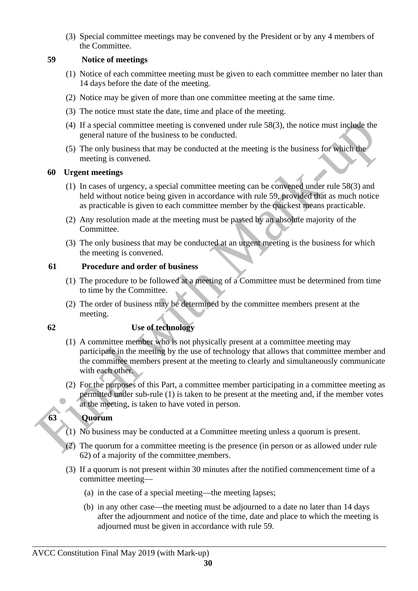(3) Special committee meetings may be convened by the President or by any 4 members of the Committee.

#### <span id="page-29-4"></span>**59 Notice of meetings**

- (1) Notice of each committee meeting must be given to each committee member no later than 14 days before the date of the meeting.
- (2) Notice may be given of more than one committee meeting at the same time.
- (3) The notice must state the date, time and place of the meeting.
- (4) If a special committee meeting is convened under rule 58(3), the notice must include the general nature of the business to be conducted.
- (5) The only business that may be conducted at the meeting is the business for which the meeting is convened.

#### <span id="page-29-3"></span> **60 Urgent meetings**

- (1) In cases of urgency, a special committee meeting can be convened under rule 58(3) and held without notice being given in accordance with rule 59, provided that as much notice as practicable is given to each committee member by the quickest means practicable.
- (2) Any resolution made at the meeting must be passed by an absolute majority of the Committee.
- (3) The only business that may be conducted at an urgent meeting is the business for which the meeting is convened.

#### <span id="page-29-2"></span>**61 Procedure and order of business**

- (1) The procedure to be followed at a meeting of a Committee must be determined from time to time by the Committee.
- (2) The order of business may be determined by the committee members present at the meeting.

### <span id="page-29-1"></span>**62 Use of technology**

- (1) A committee member who is not physically present at a committee meeting may participate in the meeting by the use of technology that allows that committee member and the committee members present at the meeting to clearly and simultaneously communicate with each other.
- (2) For the purposes of this Part, a committee member participating in a committee meeting as permitted under sub-rule (1) is taken to be present at the meeting and, if the member votes at the meeting, is taken to have voted in person.

## <span id="page-29-0"></span>**63 Quorum**

- (1) No business may be conducted at a Committee meeting unless a quorum is present.
- (2) The quorum for a committee meeting is the presence (in person or as allowed under rule 62) of a majority of the committee members.
- (3) If a quorum is not present within 30 minutes after the notified commencement time of a committee meeting—
	- (a) in the case of a special meeting—the meeting lapses;
	- (b) in any other case—the meeting must be adjourned to a date no later than 14 days after the adjournment and notice of the time, date and place to which the meeting is adjourned must be given in accordance with rule 59.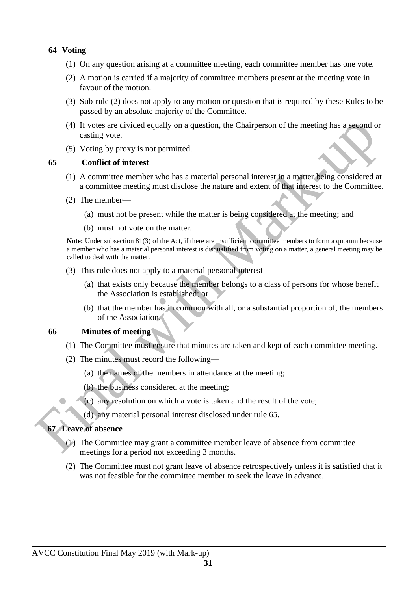#### <span id="page-30-3"></span>**64 Voting**

- (1) On any question arising at a committee meeting, each committee member has one vote.
- (2) A motion is carried if a majority of committee members present at the meeting vote in favour of the motion.
- (3) Sub-rule (2) does not apply to any motion or question that is required by these Rules to be passed by an absolute majority of the Committee.
- (4) If votes are divided equally on a question, the Chairperson of the meeting has a second or casting vote.
- (5) Voting by proxy is not permitted.

#### <span id="page-30-2"></span>**65 Conflict of interest**

- (1) A committee member who has a material personal interest in a matter being considered at a committee meeting must disclose the nature and extent of that interest to the Committee.
- (2) The member—
	- (a) must not be present while the matter is being considered at the meeting; and
	- (b) must not vote on the matter.

**Note:** Under subsection 81(3) of the Act, if there are insufficient committee members to form a quorum because a member who has a material personal interest is disqualified from voting on a matter, a general meeting may be called to deal with the matter.

- (3) This rule does not apply to a material personal interest—
	- (a) that exists only because the member belongs to a class of persons for whose benefit the Association is established; or
	- (b) that the member has in common with all, or a substantial proportion of, the members of the Association.

#### <span id="page-30-1"></span>**66 Minutes of meeting**

- (1) The Committee must ensure that minutes are taken and kept of each committee meeting.
- (2) The minutes must record the following—
	- (a) the names of the members in attendance at the meeting;
	- (b) the business considered at the meeting;
	- (c) any resolution on which a vote is taken and the result of the vote;
	- (d) any material personal interest disclosed under rule 65.

## <span id="page-30-0"></span>**67 Leave of absence**

- (1) The Committee may grant a committee member leave of absence from committee meetings for a period not exceeding 3 months.
- (2) The Committee must not grant leave of absence retrospectively unless it is satisfied that it was not feasible for the committee member to seek the leave in advance.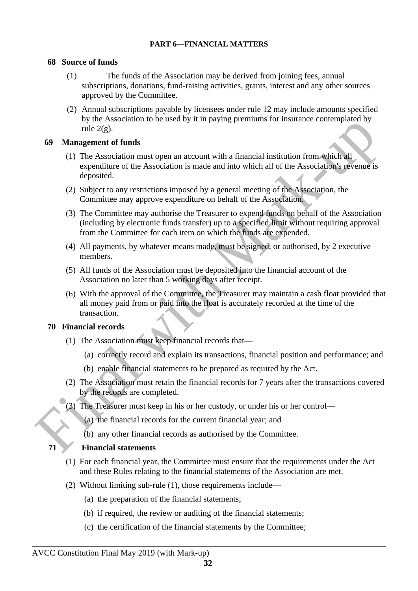#### <span id="page-31-4"></span>**PART 6—FINANCIAL MATTERS**

## <span id="page-31-3"></span>**68 Source of funds**

- (1) The funds of the Association may be derived from joining fees, annual subscriptions, donations, fund-raising activities, grants, interest and any other sources approved by the Committee.
- (2) Annual subscriptions payable by licensees under rule 12 may include amounts specified by the Association to be used by it in paying premiums for insurance contemplated by rule 2(g).

#### <span id="page-31-2"></span> **69 Management of funds**

- (1) The Association must open an account with a financial institution from which all expenditure of the Association is made and into which all of the Association's revenue is deposited.
- (2) Subject to any restrictions imposed by a general meeting of the Association, the Committee may approve expenditure on behalf of the Association.
- (3) The Committee may authorise the Treasurer to expend funds on behalf of the Association (including by electronic funds transfer) up to a specified limit without requiring approval from the Committee for each item on which the funds are expended.
- (4) All payments, by whatever means made, must be signed, or authorised, by 2 executive members.
- (5) All funds of the Association must be deposited into the financial account of the Association no later than 5 working days after receipt.
- (6) With the approval of the Committee, the Treasurer may maintain a cash float provided that all money paid from or paid into the float is accurately recorded at the time of the transaction.

#### <span id="page-31-1"></span>**70 Financial records**

- (1) The Association must keep financial records that—
	- (a) correctly record and explain its transactions, financial position and performance; and
	- (b) enable financial statements to be prepared as required by the Act.
- (2) The Association must retain the financial records for 7 years after the transactions covered by the records are completed.
- (3) The Treasurer must keep in his or her custody, or under his or her control—
	- (a) the financial records for the current financial year; and
	- (b) any other financial records as authorised by the Committee.

#### <span id="page-31-0"></span>**71 Financial statements**

- (1) For each financial year, the Committee must ensure that the requirements under the Act and these Rules relating to the financial statements of the Association are met.
- (2) Without limiting sub-rule (1), those requirements include—
	- (a) the preparation of the financial statements;
	- (b) if required, the review or auditing of the financial statements;
	- (c) the certification of the financial statements by the Committee;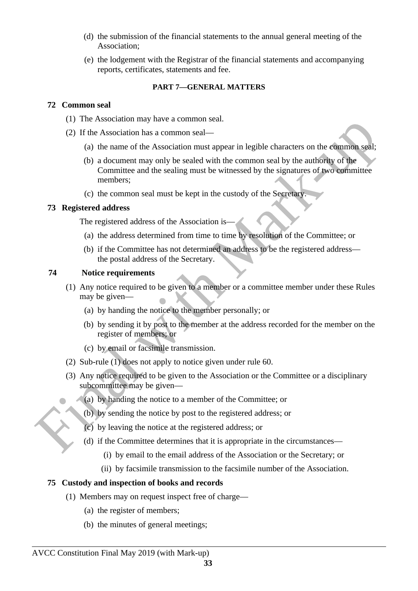- (d) the submission of the financial statements to the annual general meeting of the Association;
- (e) the lodgement with the Registrar of the financial statements and accompanying reports, certificates, statements and fee.

### <span id="page-32-0"></span>**PART 7—GENERAL MATTERS**

### <span id="page-32-4"></span>**72 Common seal**

- (1) The Association may have a common seal.
- (2) If the Association has a common seal—
	- (a) the name of the Association must appear in legible characters on the common seal;
	- (b) a document may only be sealed with the common seal by the authority of the Committee and the sealing must be witnessed by the signatures of two committee members;
	- (c) the common seal must be kept in the custody of the Secretary.

## <span id="page-32-3"></span>**73 Registered address**

The registered address of the Association is—

- (a) the address determined from time to time by resolution of the Committee; or
- (b) if the Committee has not determined an address to be the registered address the postal address of the Secretary.

## <span id="page-32-2"></span>**74 Notice requirements**

- (1) Any notice required to be given to a member or a committee member under these Rules may be given—
	- (a) by handing the notice to the member personally; or
	- (b) by sending it by post to the member at the address recorded for the member on the register of members; or
	- (c) by email or facsimile transmission.
- (2) Sub-rule (1) does not apply to notice given under rule 60.
- (3) Any notice required to be given to the Association or the Committee or a disciplinary subcommittee may be given—
	- (a) by handing the notice to a member of the Committee; or
	- (b) by sending the notice by post to the registered address; or
	- (c) by leaving the notice at the registered address; or
	- (d) if the Committee determines that it is appropriate in the circumstances—
		- (i) by email to the email address of the Association or the Secretary; or
		- (ii) by facsimile transmission to the facsimile number of the Association.

## <span id="page-32-1"></span>**75 Custody and inspection of books and records**

- (1) Members may on request inspect free of charge—
	- (a) the register of members;
	- (b) the minutes of general meetings;